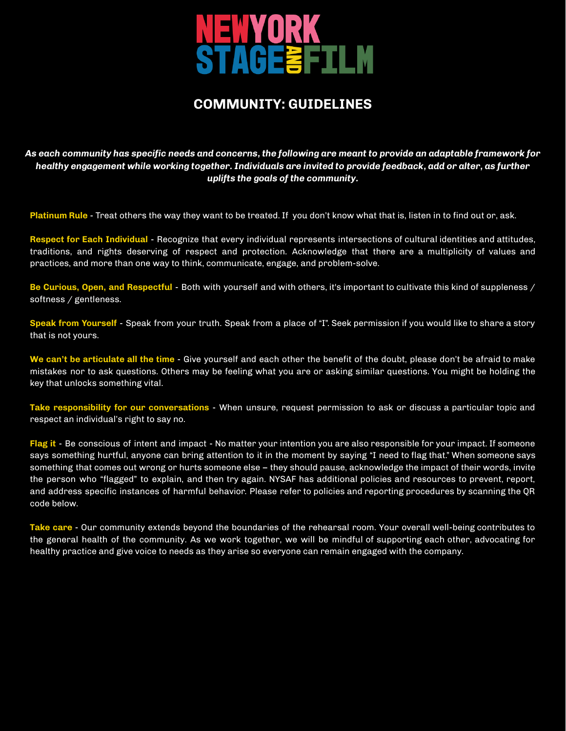

# **COMMUNITY: GUIDELINES**

As each community has specific needs and concerns, the following are meant to provide an adaptable framework for *healthy engagement while working together. Individuals are invited to provide feedback, add or alter, as further uplifts the goals of the community.*

**Platinum Rule** - Treat others the way they want to be treated. If you don't know what that is, listen in to find out or, ask.

**Respect for Each Individual** - Recognize that every individual represents intersections of cultural identities and attitudes, traditions, and rights deserving of respect and protection. Acknowledge that there are a multiplicity of values and practices, and more than one way to think, communicate, engage, and problem-solve.

**Be Curious, Open, and Respectful** - Both with yourself and with others, it's important to cultivate this kind of suppleness / softness / gentleness.

**Speak from Yourself** - Speak from your truth. Speak from a place of "I". Seek permission if you would like to share a story that is not yours.

**We can't be articulate all the time** - Give yourself and each other the benefit of the doubt, please don't be afraid to make mistakes nor to ask questions. Others may be feeling what you are or asking similar questions. You might be holding the key that unlocks something vital.

**Take responsibility for our conversations** - When unsure, request permission to ask or discuss a particular topic and respect an individual's right to say no.

**Flag it** - Be conscious of intent and impact - No matter your intention you are also responsible for your impact. If someone says something hurtful, anyone can bring attention to it in the moment by saying "I need to flag that." When someone says something that comes out wrong or hurts someone else – they should pause, acknowledge the impact of their words, invite the person who "flagged" to explain, and then try again. NYSAF has additional policies and resources to prevent, report, and address specific instances of harmful behavior. Please refer to policies and reporting procedures by scanning the QR code below.

**Take care** - Our community extends beyond the boundaries of the rehearsal room. Your overall well-being contributes to the general health of the community. As we work together, we will be mindful of supporting each other, advocating for healthy practice and give voice to needs as they arise so everyone can remain engaged with the company.